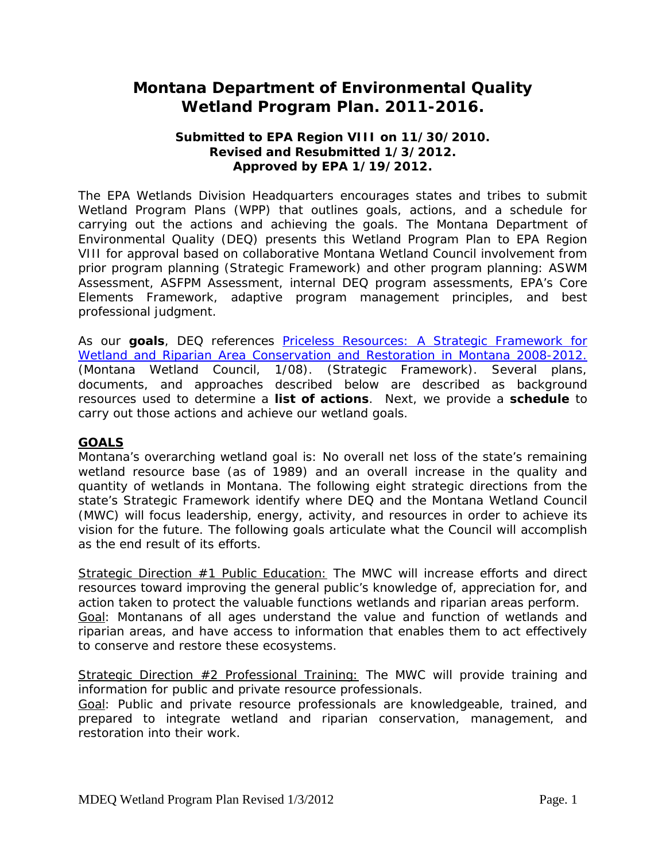# **Montana Department of Environmental Quality Wetland Program Plan. 2011-2016.**

#### **Submitted to EPA Region VIII on 11/30/2010. Revised and Resubmitted 1/3/2012. Approved by EPA 1/19/2012.**

The EPA Wetlands Division Headquarters encourages states and tribes to submit Wetland Program Plans (WPP) that outlines goals, actions, and a schedule for carrying out the actions and achieving the goals. The Montana Department of Environmental Quality (DEQ) presents this Wetland Program Plan to EPA Region VIII for approval based on collaborative Montana Wetland Council involvement from prior program planning (*Strategic Framework*) and other program planning: ASWM Assessment, ASFPM Assessment, internal DEQ program assessments, EPA's Core Elements Framework, adaptive program management principles, and best professional judgment.

As our **goals**, DEQ references *[Priceless Resources: A Strategic Framework for](http://deq.mt.gov/wqinfo/Wetlands/PubsResourcesMainPage.mcpx)  [Wetland and Riparian Area Conservation and Restoration in Montana 2008-2012](http://deq.mt.gov/wqinfo/Wetlands/PubsResourcesMainPage.mcpx)*. (Montana Wetland Council, 1/08). (*Strategic Framework*). Several plans, documents, and approaches described below are described as background resources used to determine a **list of actions**. Next, we provide a **schedule** to carry out those actions and achieve our wetland goals.

### **GOALS**

Montana's overarching wetland goal is: No overall net loss of the state's remaining wetland resource base (as of 1989) and an overall increase in the quality and quantity of wetlands in Montana. The following eight strategic directions from the state's *Strategic Framework* identify where DEQ and the Montana Wetland Council (MWC) will focus leadership, energy, activity, and resources in order to achieve its vision for the future. The following goals articulate what the Council will accomplish as the end result of its efforts.

Strategic Direction #1 Public Education: The MWC will increase efforts and direct resources toward improving the general public's knowledge of, appreciation for, and action taken to protect the valuable functions wetlands and riparian areas perform. Goal: Montanans of all ages understand the value and function of wetlands and riparian areas, and have access to information that enables them to act effectively to conserve and restore these ecosystems.

Strategic Direction #2 Professional Training: The MWC will provide training and information for public and private resource professionals.

Goal: Public and private resource professionals are knowledgeable, trained, and prepared to integrate wetland and riparian conservation, management, and restoration into their work.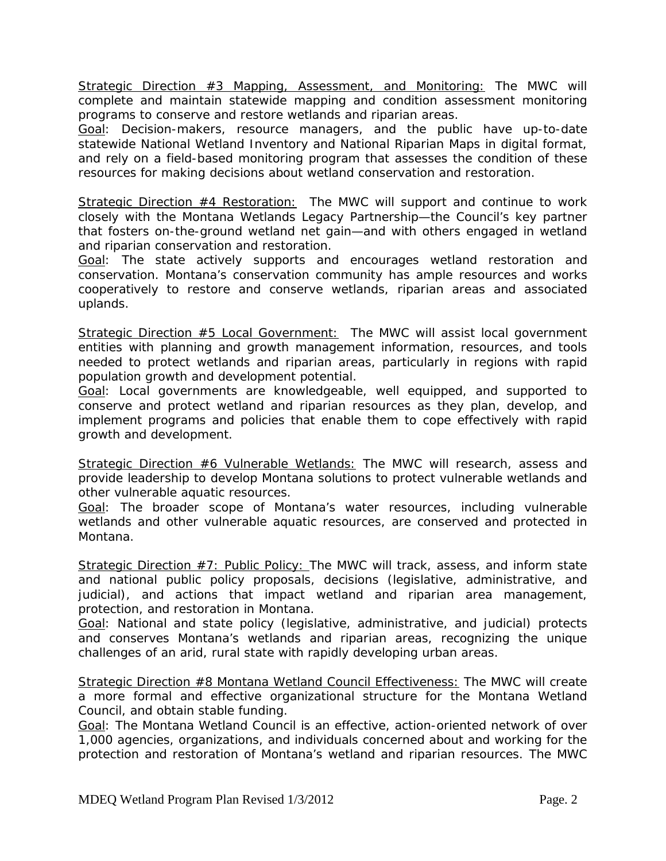Strategic Direction #3 Mapping, Assessment, and Monitoring: The MWC will complete and maintain statewide mapping and condition assessment monitoring programs to conserve and restore wetlands and riparian areas.

Goal: Decision-makers, resource managers, and the public have up-to-date statewide National Wetland Inventory and National Riparian Maps in digital format, and rely on a field-based monitoring program that assesses the condition of these resources for making decisions about wetland conservation and restoration.

Strategic Direction #4 Restoration: The MWC will support and continue to work closely with the Montana Wetlands Legacy Partnership—the Council's key partner that fosters on-the-ground wetland net gain—and with others engaged in wetland and riparian conservation and restoration.

Goal: The state actively supports and encourages wetland restoration and conservation. Montana's conservation community has ample resources and works cooperatively to restore and conserve wetlands, riparian areas and associated uplands.

Strategic Direction #5 Local Government: The MWC will assist local government entities with planning and growth management information, resources, and tools needed to protect wetlands and riparian areas, particularly in regions with rapid population growth and development potential.

Goal: Local governments are knowledgeable, well equipped, and supported to conserve and protect wetland and riparian resources as they plan, develop, and implement programs and policies that enable them to cope effectively with rapid growth and development.

Strategic Direction #6 Vulnerable Wetlands: The MWC will research, assess and provide leadership to develop Montana solutions to protect vulnerable wetlands and other vulnerable aquatic resources.

Goal: The broader scope of Montana's water resources, including vulnerable wetlands and other vulnerable aquatic resources, are conserved and protected in Montana.

Strategic Direction #7: Public Policy: The MWC will track, assess, and inform state and national public policy proposals, decisions (legislative, administrative, and judicial), and actions that impact wetland and riparian area management, protection, and restoration in Montana.

Goal: National and state policy (legislative, administrative, and judicial) protects and conserves Montana's wetlands and riparian areas, recognizing the unique challenges of an arid, rural state with rapidly developing urban areas.

Strategic Direction #8 Montana Wetland Council Effectiveness: The MWC will create a more formal and effective organizational structure for the Montana Wetland Council, and obtain stable funding.

Goal: The Montana Wetland Council is an effective, action-oriented network of over 1,000 agencies, organizations, and individuals concerned about and working for the protection and restoration of Montana's wetland and riparian resources. The MWC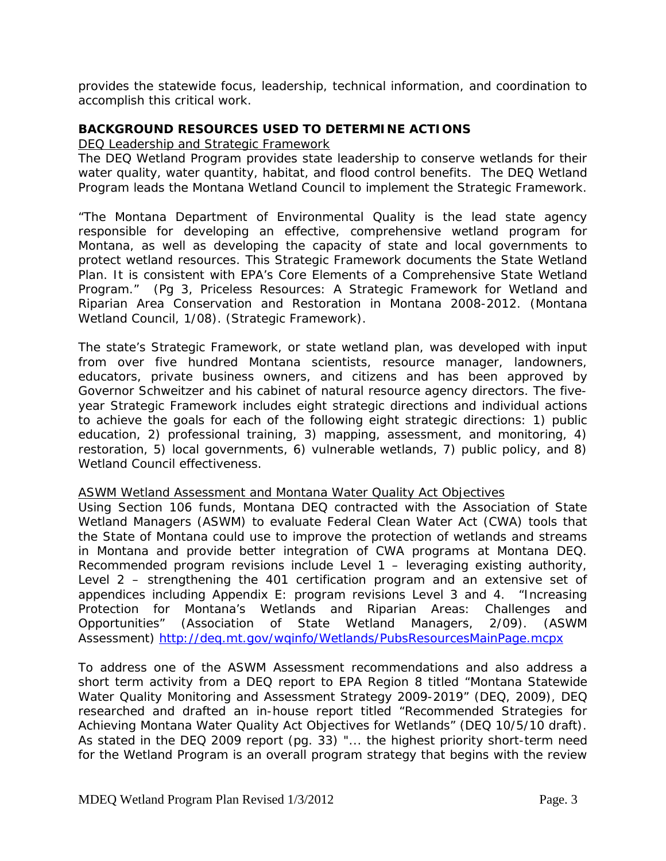provides the statewide focus, leadership, technical information, and coordination to accomplish this critical work.

#### **BACKGROUND RESOURCES USED TO DETERMINE ACTIONS**

DEQ Leadership and Strategic Framework

The DEQ Wetland Program provides state leadership to conserve wetlands for their water quality, water quantity, habitat, and flood control benefits. The DEQ Wetland Program leads the Montana Wetland Council to implement the *Strategic Framework*.

"The Montana Department of Environmental Quality is the lead state agency responsible for developing an effective, comprehensive wetland program for Montana, as well as developing the capacity of state and local governments to protect wetland resources. This *Strategic Framework* documents the State Wetland Plan. It is consistent with EPA's Core Elements of a Comprehensive State Wetland Program." (Pg 3, *Priceless Resources: A Strategic Framework for Wetland and Riparian Area Conservation and Restoration in Montana 2008-2012*. (Montana Wetland Council, 1/08). (*Strategic Framework*).

The state's *Strategic Framework*, or state wetland plan, was developed with input from over five hundred Montana scientists, resource manager, landowners, educators, private business owners, and citizens and has been approved by Governor Schweitzer and his cabinet of natural resource agency directors. The fiveyear *Strategic Framework* includes eight strategic directions and individual actions to achieve the goals for each of the following eight strategic directions: 1) public education, 2) professional training, 3) mapping, assessment, and monitoring, 4) restoration, 5) local governments, 6) vulnerable wetlands, 7) public policy, and 8) Wetland Council effectiveness.

#### ASWM Wetland Assessment and Montana Water Quality Act Objectives

Using Section 106 funds, Montana DEQ contracted with the Association of State Wetland Managers (ASWM) to evaluate Federal Clean Water Act (CWA) tools that the State of Montana could use to improve the protection of wetlands and streams in Montana and provide better integration of CWA programs at Montana DEQ. Recommended program revisions include Level 1 – leveraging existing authority, Level 2 – strengthening the 401 certification program and an extensive set of appendices including Appendix E: program revisions Level 3 and 4. "*Increasing Protection for Montana's Wetlands and Riparian Areas: Challenges and Opportunities*" (Association of State Wetland Managers, 2/09). (ASWM Assessment) http://deq.mt.gov/wginfo/Wetlands/PubsResourcesMainPage.mcpx

To address one of the ASWM Assessment recommendations and also address a short term activity from a DEQ report to EPA Region 8 titled "*Montana Statewide Water Quality Monitoring and Assessment Strategy 2009-2019*" (DEQ, 2009), DEQ researched and drafted an in-house report titled "*Recommended Strategies for Achieving Montana Water Quality Act Objectives for Wetlands*" (DEQ 10/5/10 draft). As stated in the DEQ 2009 report (pg. 33) "... the highest priority short-term need for the Wetland Program is an overall program strategy that begins with the review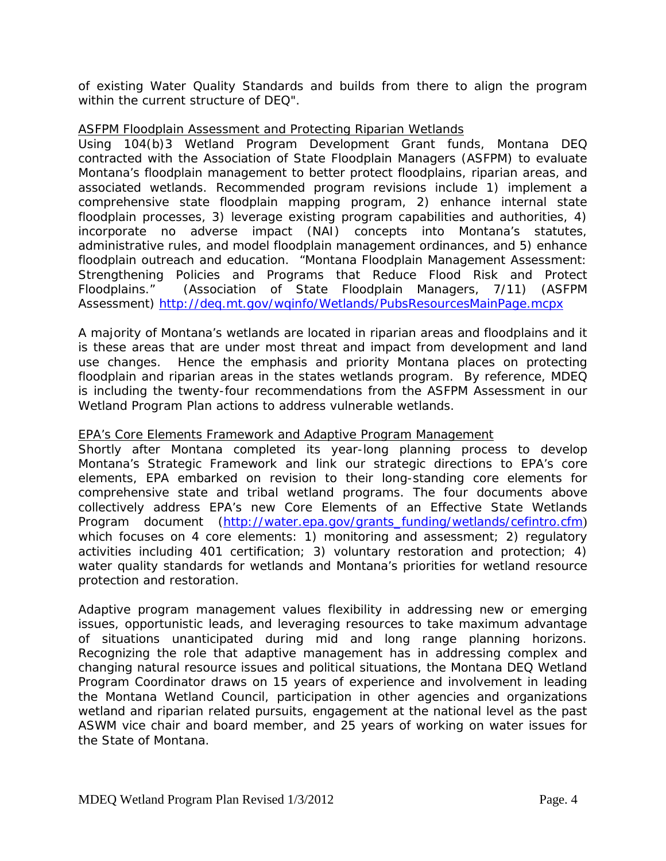of existing Water Quality Standards and builds from there to align the program within the current structure of DEQ".

#### ASFPM Floodplain Assessment and Protecting Riparian Wetlands

Using 104(b)3 Wetland Program Development Grant funds, Montana DEQ contracted with the Association of State Floodplain Managers (ASFPM) to evaluate Montana's floodplain management to better protect floodplains, riparian areas, and associated wetlands. Recommended program revisions include 1) implement a comprehensive state floodplain mapping program, 2) enhance internal state floodplain processes, 3) leverage existing program capabilities and authorities, 4) incorporate no adverse impact (NAI) concepts into Montana's statutes, administrative rules, and model floodplain management ordinances, and 5) enhance floodplain outreach and education. "Montana Floodplain Management Assessment: Strengthening Policies and Programs that Reduce Flood Risk and Protect Floodplains." (Association of State Floodplain Managers, 7/11) (ASFPM Assessment)<http://deq.mt.gov/wqinfo/Wetlands/PubsResourcesMainPage.mcpx>

A majority of Montana's wetlands are located in riparian areas and floodplains and it is these areas that are under most threat and impact from development and land use changes. Hence the emphasis and priority Montana places on protecting floodplain and riparian areas in the states wetlands program. By reference, MDEQ is including the twenty-four recommendations from the ASFPM Assessment in our Wetland Program Plan actions to address vulnerable wetlands.

#### EPA's Core Elements Framework and Adaptive Program Management

Shortly after Montana completed its year-long planning process to develop Montana's *Strategic Framework* and link our strategic directions to EPA's core elements, EPA embarked on revision to their long-standing core elements for comprehensive state and tribal wetland programs. The four documents above collectively address EPA's new Core Elements of an Effective State Wetlands Program document [\(http://water.epa.gov/grants\\_funding/wetlands/cefintro.cfm](http://water.epa.gov/grants_funding/wetlands/cefintro.cfm)) which focuses on 4 core elements: 1) monitoring and assessment; 2) regulatory activities including 401 certification; 3) voluntary restoration and protection; 4) water quality standards for wetlands and Montana's priorities for wetland resource protection and restoration.

Adaptive program management values flexibility in addressing new or emerging issues, opportunistic leads, and leveraging resources to take maximum advantage of situations unanticipated during mid and long range planning horizons. Recognizing the role that adaptive management has in addressing complex and changing natural resource issues and political situations, the Montana DEQ Wetland Program Coordinator draws on 15 years of experience and involvement in leading the Montana Wetland Council, participation in other agencies and organizations wetland and riparian related pursuits, engagement at the national level as the past ASWM vice chair and board member, and 25 years of working on water issues for the State of Montana.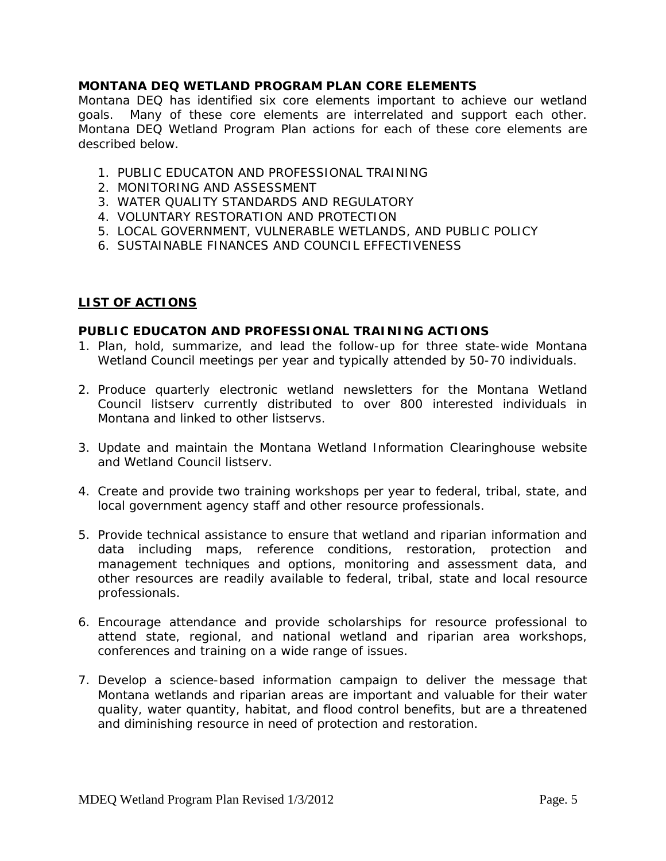#### **MONTANA DEQ WETLAND PROGRAM PLAN CORE ELEMENTS**

Montana DEQ has identified six core elements important to achieve our wetland goals. Many of these core elements are interrelated and support each other. Montana DEQ Wetland Program Plan actions for each of these core elements are described below.

- 1. PUBLIC EDUCATON AND PROFESSIONAL TRAINING
- 2. MONITORING AND ASSESSMENT
- 3. WATER QUALITY STANDARDS AND REGULATORY
- 4. VOLUNTARY RESTORATION AND PROTECTION
- 5. LOCAL GOVERNMENT, VULNERABLE WETLANDS, AND PUBLIC POLICY
- 6. SUSTAINABLE FINANCES AND COUNCIL EFFECTIVENESS

#### **LIST OF ACTIONS**

#### **PUBLIC EDUCATON AND PROFESSIONAL TRAINING ACTIONS**

- 1. Plan, hold, summarize, and lead the follow-up for three state-wide Montana Wetland Council meetings per year and typically attended by 50-70 individuals.
- 2. Produce quarterly electronic wetland newsletters for the Montana Wetland Council listserv currently distributed to over 800 interested individuals in Montana and linked to other listservs.
- 3. Update and maintain the Montana Wetland Information Clearinghouse website and Wetland Council listserv.
- 4. Create and provide two training workshops per year to federal, tribal, state, and local government agency staff and other resource professionals.
- 5. Provide technical assistance to ensure that wetland and riparian information and data including maps, reference conditions, restoration, protection and management techniques and options, monitoring and assessment data, and other resources are readily available to federal, tribal, state and local resource professionals.
- 6. Encourage attendance and provide scholarships for resource professional to attend state, regional, and national wetland and riparian area workshops, conferences and training on a wide range of issues.
- 7. Develop a science-based information campaign to deliver the message that Montana wetlands and riparian areas are important and valuable for their water quality, water quantity, habitat, and flood control benefits, but are a threatened and diminishing resource in need of protection and restoration.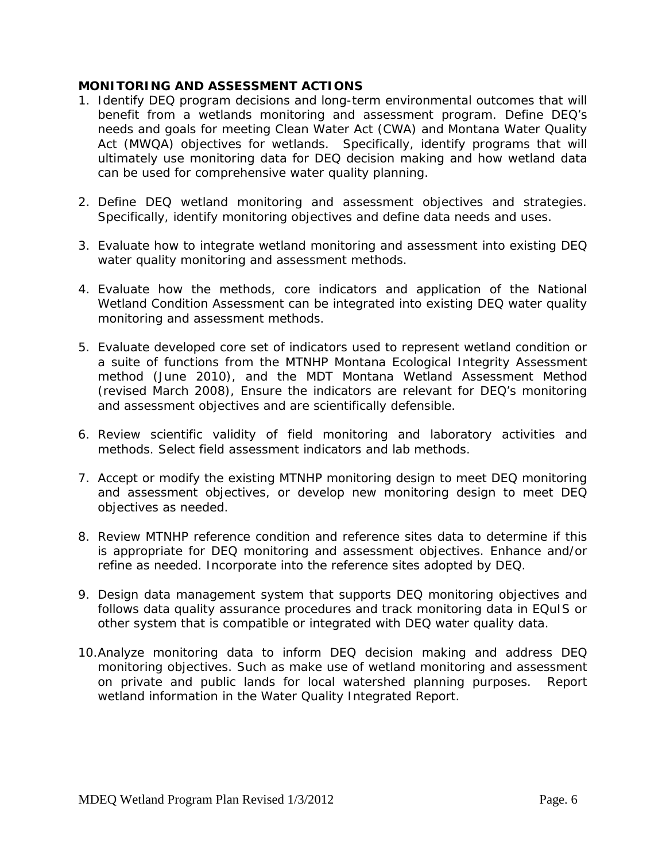#### **MONITORING AND ASSESSMENT ACTIONS**

- 1. Identify DEQ program decisions and long-term environmental outcomes that will benefit from a wetlands monitoring and assessment program. Define DEQ's needs and goals for meeting Clean Water Act (CWA) and Montana Water Quality Act (MWQA) objectives for wetlands. Specifically, identify programs that will ultimately use monitoring data for DEQ decision making and how wetland data can be used for comprehensive water quality planning.
- 2. Define DEQ wetland monitoring and assessment objectives and strategies. Specifically, identify monitoring objectives and define data needs and uses.
- 3. Evaluate how to integrate wetland monitoring and assessment into existing DEQ water quality monitoring and assessment methods.
- 4. Evaluate how the methods, core indicators and application of the National Wetland Condition Assessment can be integrated into existing DEQ water quality monitoring and assessment methods.
- 5. Evaluate developed core set of indicators used to represent wetland condition or a suite of functions from the MTNHP Montana Ecological Integrity Assessment method (June 2010), and the MDT Montana Wetland Assessment Method (revised March 2008), Ensure the indicators are relevant for DEQ's monitoring and assessment objectives and are scientifically defensible.
- 6. Review scientific validity of field monitoring and laboratory activities and methods. Select field assessment indicators and lab methods.
- 7. Accept or modify the existing MTNHP monitoring design to meet DEQ monitoring and assessment objectives, or develop new monitoring design to meet DEQ objectives as needed.
- 8. Review MTNHP reference condition and reference sites data to determine if this is appropriate for DEQ monitoring and assessment objectives. Enhance and/or refine as needed. Incorporate into the reference sites adopted by DEQ.
- 9. Design data management system that supports DEQ monitoring objectives and follows data quality assurance procedures and track monitoring data in EQuIS or other system that is compatible or integrated with DEQ water quality data.
- 10.Analyze monitoring data to inform DEQ decision making and address DEQ monitoring objectives. Such as make use of wetland monitoring and assessment on private and public lands for local watershed planning purposes. Report wetland information in the Water Quality Integrated Report.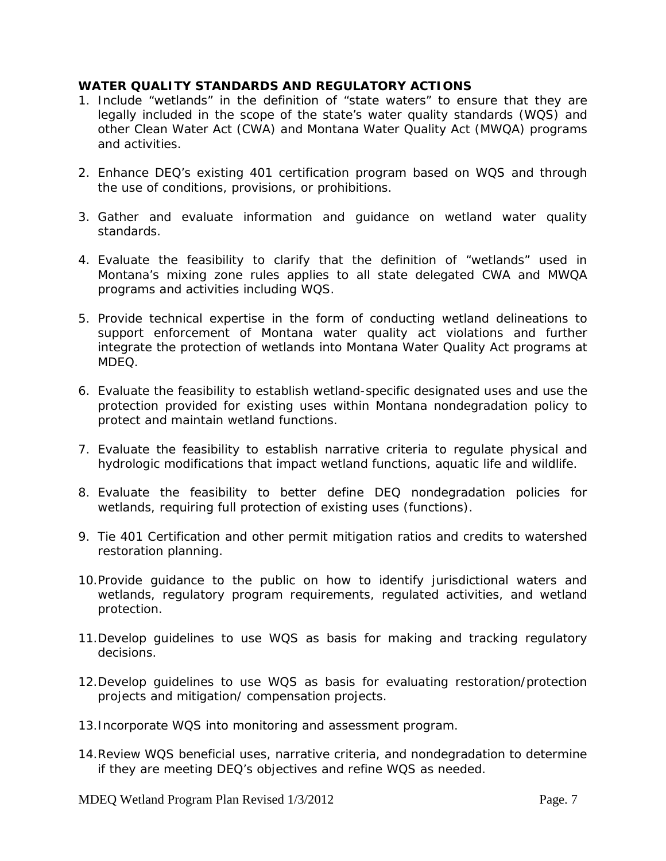#### **WATER QUALITY STANDARDS AND REGULATORY ACTIONS**

- 1. Include "wetlands" in the definition of "state waters" to ensure that they are legally included in the scope of the state's water quality standards (WQS) and other Clean Water Act (CWA) and Montana Water Quality Act (MWQA) programs and activities.
- 2. Enhance DEQ's existing 401 certification program based on WQS and through the use of conditions, provisions, or prohibitions.
- 3. Gather and evaluate information and guidance on wetland water quality standards.
- 4. Evaluate the feasibility to clarify that the definition of "wetlands" used in Montana's mixing zone rules applies to all state delegated CWA and MWQA programs and activities including WQS.
- 5. Provide technical expertise in the form of conducting wetland delineations to support enforcement of Montana water quality act violations and further integrate the protection of wetlands into Montana Water Quality Act programs at MDEQ.
- 6. Evaluate the feasibility to establish wetland-specific designated uses and use the protection provided for existing uses within Montana nondegradation policy to protect and maintain wetland functions.
- 7. Evaluate the feasibility to establish narrative criteria to regulate physical and hydrologic modifications that impact wetland functions, aquatic life and wildlife.
- 8. Evaluate the feasibility to better define DEQ nondegradation policies for wetlands, requiring full protection of existing uses (functions).
- 9. Tie 401 Certification and other permit mitigation ratios and credits to watershed restoration planning.
- 10.Provide guidance to the public on how to identify jurisdictional waters and wetlands, regulatory program requirements, regulated activities, and wetland protection.
- 11.Develop guidelines to use WQS as basis for making and tracking regulatory decisions.
- 12.Develop guidelines to use WQS as basis for evaluating restoration/protection projects and mitigation/ compensation projects.
- 13.Incorporate WQS into monitoring and assessment program.
- 14.Review WQS beneficial uses, narrative criteria, and nondegradation to determine if they are meeting DEQ's objectives and refine WQS as needed.

MDEQ Wetland Program Plan Revised 1/3/2012 Page. 7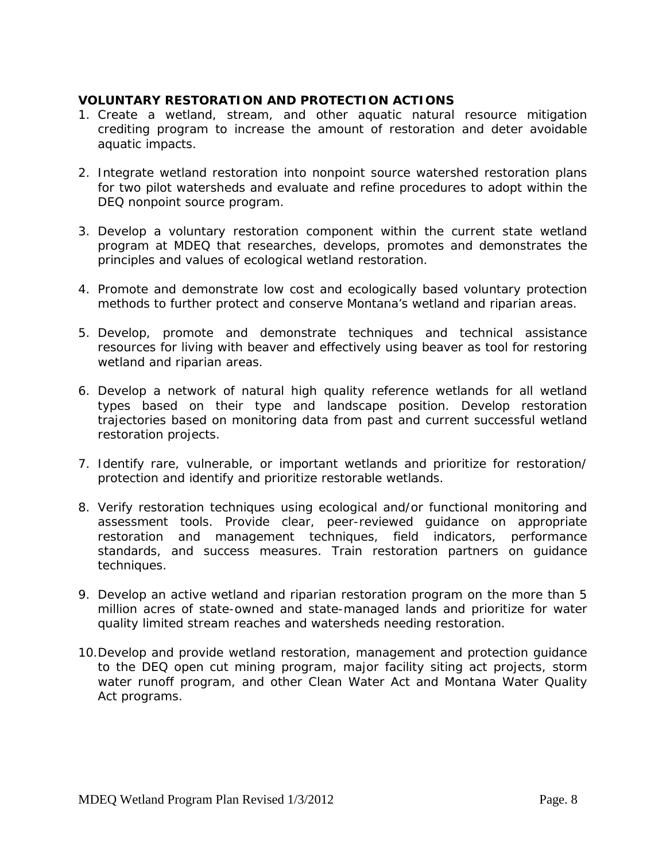#### **VOLUNTARY RESTORATION AND PROTECTION ACTIONS**

- 1. Create a wetland, stream, and other aquatic natural resource mitigation crediting program to increase the amount of restoration and deter avoidable aquatic impacts.
- 2. Integrate wetland restoration into nonpoint source watershed restoration plans for two pilot watersheds and evaluate and refine procedures to adopt within the DEQ nonpoint source program.
- 3. Develop a voluntary restoration component within the current state wetland program at MDEQ that researches, develops, promotes and demonstrates the principles and values of ecological wetland restoration.
- 4. Promote and demonstrate low cost and ecologically based voluntary protection methods to further protect and conserve Montana's wetland and riparian areas.
- 5. Develop, promote and demonstrate techniques and technical assistance resources for living with beaver and effectively using beaver as tool for restoring wetland and riparian areas.
- 6. Develop a network of natural high quality reference wetlands for all wetland types based on their type and landscape position. Develop restoration trajectories based on monitoring data from past and current successful wetland restoration projects.
- 7. Identify rare, vulnerable, or important wetlands and prioritize for restoration/ protection and identify and prioritize restorable wetlands.
- 8. Verify restoration techniques using ecological and/or functional monitoring and assessment tools. Provide clear, peer-reviewed guidance on appropriate restoration and management techniques, field indicators, performance standards, and success measures. Train restoration partners on guidance techniques.
- 9. Develop an active wetland and riparian restoration program on the more than 5 million acres of state-owned and state-managed lands and prioritize for water quality limited stream reaches and watersheds needing restoration.
- 10.Develop and provide wetland restoration, management and protection guidance to the DEQ open cut mining program, major facility siting act projects, storm water runoff program, and other Clean Water Act and Montana Water Quality Act programs.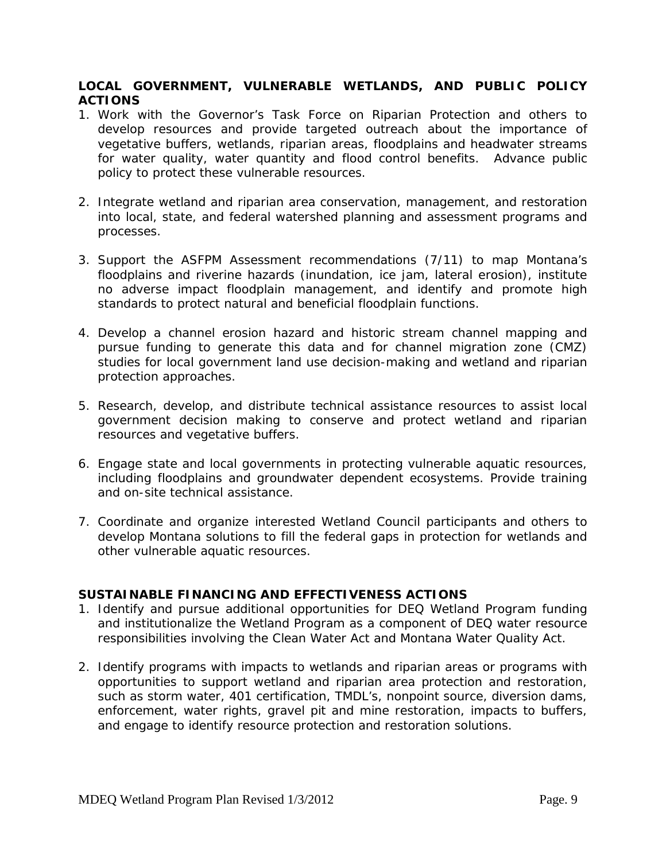#### **LOCAL GOVERNMENT, VULNERABLE WETLANDS, AND PUBLIC POLICY ACTIONS**

- 1. Work with the Governor's Task Force on Riparian Protection and others to develop resources and provide targeted outreach about the importance of vegetative buffers, wetlands, riparian areas, floodplains and headwater streams for water quality, water quantity and flood control benefits. Advance public policy to protect these vulnerable resources.
- 2. Integrate wetland and riparian area conservation, management, and restoration into local, state, and federal watershed planning and assessment programs and processes.
- 3. Support the ASFPM Assessment recommendations (7/11) to map Montana's floodplains and riverine hazards (inundation, ice jam, lateral erosion), institute no adverse impact floodplain management, and identify and promote high standards to protect natural and beneficial floodplain functions.
- 4. Develop a channel erosion hazard and historic stream channel mapping and pursue funding to generate this data and for channel migration zone (CMZ) studies for local government land use decision-making and wetland and riparian protection approaches.
- 5. Research, develop, and distribute technical assistance resources to assist local government decision making to conserve and protect wetland and riparian resources and vegetative buffers.
- 6. Engage state and local governments in protecting vulnerable aquatic resources, including floodplains and groundwater dependent ecosystems. Provide training and on-site technical assistance.
- 7. Coordinate and organize interested Wetland Council participants and others to develop Montana solutions to fill the federal gaps in protection for wetlands and other vulnerable aquatic resources.

### **SUSTAINABLE FINANCING AND EFFECTIVENESS ACTIONS**

- 1. Identify and pursue additional opportunities for DEQ Wetland Program funding and institutionalize the Wetland Program as a component of DEQ water resource responsibilities involving the Clean Water Act and Montana Water Quality Act.
- 2. Identify programs with impacts to wetlands and riparian areas or programs with opportunities to support wetland and riparian area protection and restoration, such as storm water, 401 certification, TMDL's, nonpoint source, diversion dams, enforcement, water rights, gravel pit and mine restoration, impacts to buffers, and engage to identify resource protection and restoration solutions.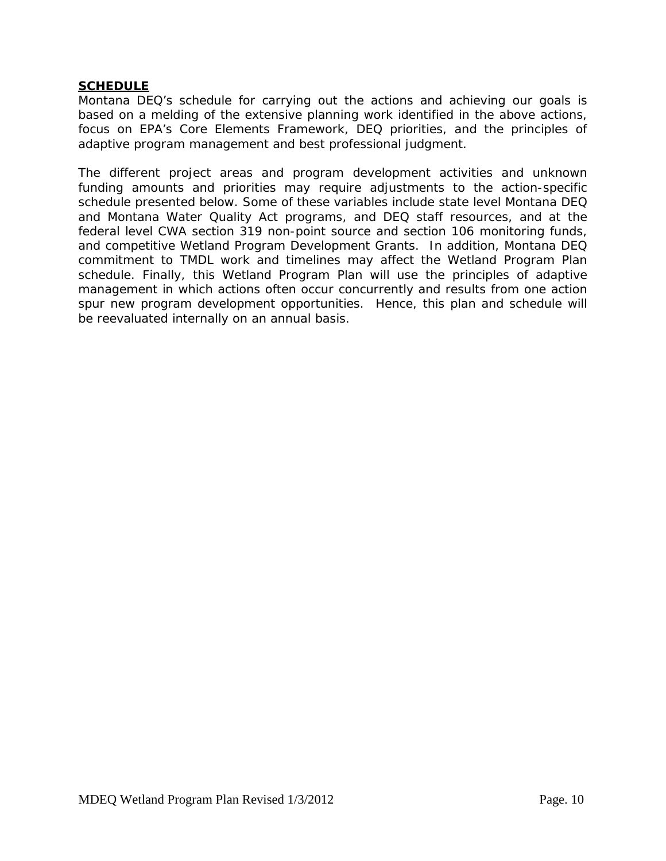#### **SCHEDULE**

Montana DEQ's schedule for carrying out the actions and achieving our goals is based on a melding of the extensive planning work identified in the above actions, focus on EPA's Core Elements Framework, DEQ priorities, and the principles of adaptive program management and best professional judgment.

The different project areas and program development activities and unknown funding amounts and priorities may require adjustments to the action-specific schedule presented below. Some of these variables include state level Montana DEQ and Montana Water Quality Act programs, and DEQ staff resources, and at the federal level CWA section 319 non-point source and section 106 monitoring funds, and competitive Wetland Program Development Grants. In addition, Montana DEQ commitment to TMDL work and timelines may affect the Wetland Program Plan schedule. Finally, this Wetland Program Plan will use the principles of adaptive management in which actions often occur concurrently and results from one action spur new program development opportunities. Hence, this plan and schedule will be reevaluated internally on an annual basis.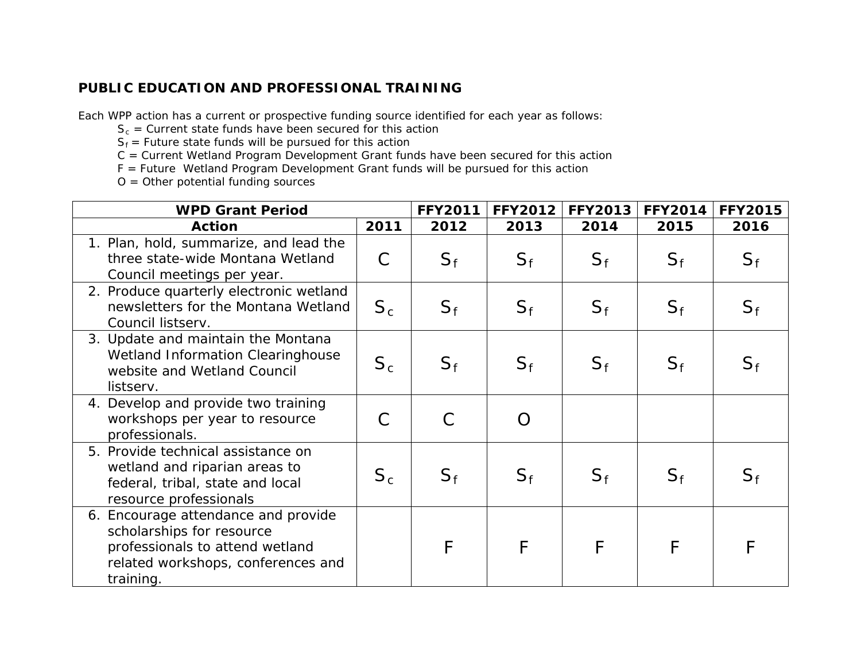## **PUBLIC EDUCATION AND PROFESSIONAL TRAINING**

*Each WPP action has a current or prospective funding source identified for each year as follows:*

*Sc = Current state funds have been secured for this action*

*Sf = Future state funds will be pursued for this action*

*C = Current Wetland Program Development Grant funds have been secured for this action*

*F = Future Wetland Program Development Grant funds will be pursued for this action*

*O = Other potential funding sources*

| <b>WPD Grant Period</b>                                                                                                                                |               | <b>FFY2011</b> | <b>FFY2012</b> | <b>FFY2013</b> | <b>FFY2014</b> | <b>FFY2015</b>  |
|--------------------------------------------------------------------------------------------------------------------------------------------------------|---------------|----------------|----------------|----------------|----------------|-----------------|
| <b>Action</b>                                                                                                                                          | 2011          | 2012           | 2013           | 2014           | 2015           | 2016            |
| 1. Plan, hold, summarize, and lead the<br>three state-wide Montana Wetland<br>Council meetings per year.                                               | $\mathcal C$  | $S_f$          | $S_f$          | $S_f$          | $S_f$          | $\mathcal{S}_f$ |
| 2. Produce quarterly electronic wetland<br>newsletters for the Montana Wetland<br>Council listserv.                                                    | $S_c$         | $S_f$          | $S_f$          | $S_f$          | $S_f$          | $\mathcal{S}_f$ |
| 3. Update and maintain the Montana<br>Wetland Information Clearinghouse<br>website and Wetland Council<br>listserv.                                    | $S_c$         | $S_f$          | $S_f$          | $S_f$          | $S_f$          | $\mathcal{S}_f$ |
| 4. Develop and provide two training<br>workshops per year to resource<br>professionals.                                                                | $\mathcal{C}$ | $\overline{C}$ | $\Omega$       |                |                |                 |
| 5. Provide technical assistance on<br>wetland and riparian areas to<br>federal, tribal, state and local<br>resource professionals                      | $S_c$         | $S_f$          | $S_f$          | $S_f$          | $S_f$          | $\mathcal{S}_f$ |
| 6. Encourage attendance and provide<br>scholarships for resource<br>professionals to attend wetland<br>related workshops, conferences and<br>training. |               | F              | F              | $\sqrt{F}$     | $\sqrt{F}$     |                 |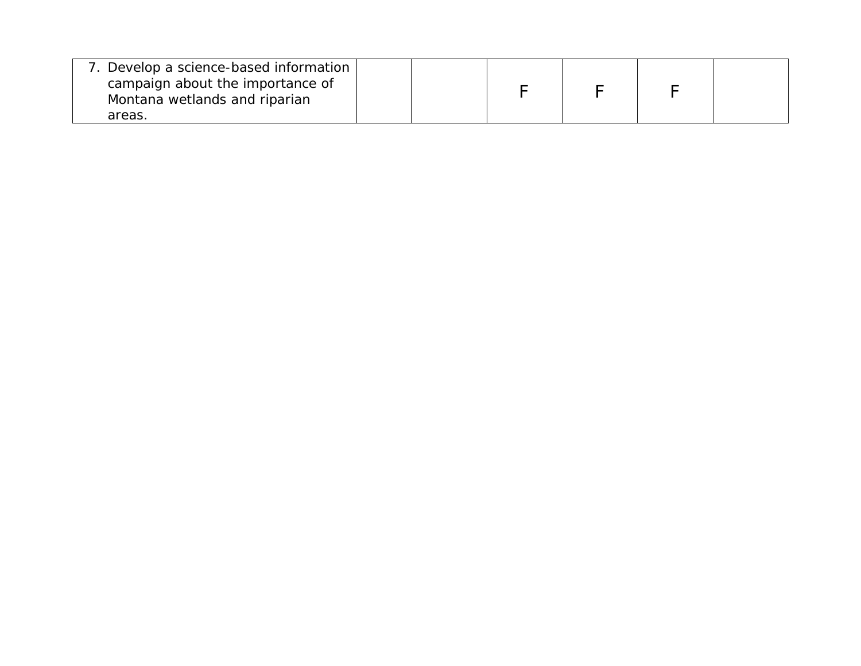| . Develop a science-based information                             |  |  |  |
|-------------------------------------------------------------------|--|--|--|
| campaign about the importance of<br>Montana wetlands and riparian |  |  |  |
| areas.                                                            |  |  |  |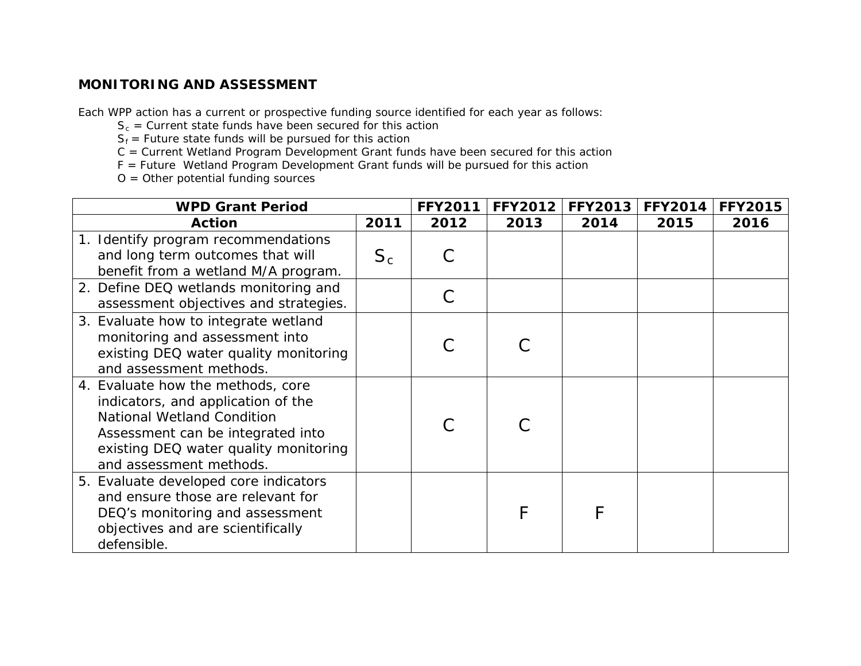### **MONITORING AND ASSESSMENT**

- *Sc = Current state funds have been secured for this action*
- *Sf = Future state funds will be pursued for this action*
- *C = Current Wetland Program Development Grant funds have been secured for this action*
- *F = Future Wetland Program Development Grant funds will be pursued for this action*
- *O = Other potential funding sources*

| <b>WPD Grant Period</b>                                                                                                                                                                                               |       | <b>FFY2011</b> | <b>FFY2012</b> | <b>FFY2013</b> |      | FFY2014 FFY2015 |
|-----------------------------------------------------------------------------------------------------------------------------------------------------------------------------------------------------------------------|-------|----------------|----------------|----------------|------|-----------------|
| <b>Action</b>                                                                                                                                                                                                         | 2011  | 2012           | 2013           | 2014           | 2015 | 2016            |
| 1. Identify program recommendations<br>and long term outcomes that will<br>benefit from a wetland M/A program.                                                                                                        | $S_c$ |                |                |                |      |                 |
| 2. Define DEQ wetlands monitoring and<br>assessment objectives and strategies.                                                                                                                                        |       |                |                |                |      |                 |
| 3. Evaluate how to integrate wetland<br>monitoring and assessment into<br>existing DEQ water quality monitoring<br>and assessment methods.                                                                            |       |                |                |                |      |                 |
| 4. Evaluate how the methods, core<br>indicators, and application of the<br><b>National Wetland Condition</b><br>Assessment can be integrated into<br>existing DEQ water quality monitoring<br>and assessment methods. |       |                |                |                |      |                 |
| 5. Evaluate developed core indicators<br>and ensure those are relevant for<br>DEQ's monitoring and assessment<br>objectives and are scientifically<br>defensible.                                                     |       |                | F              | F              |      |                 |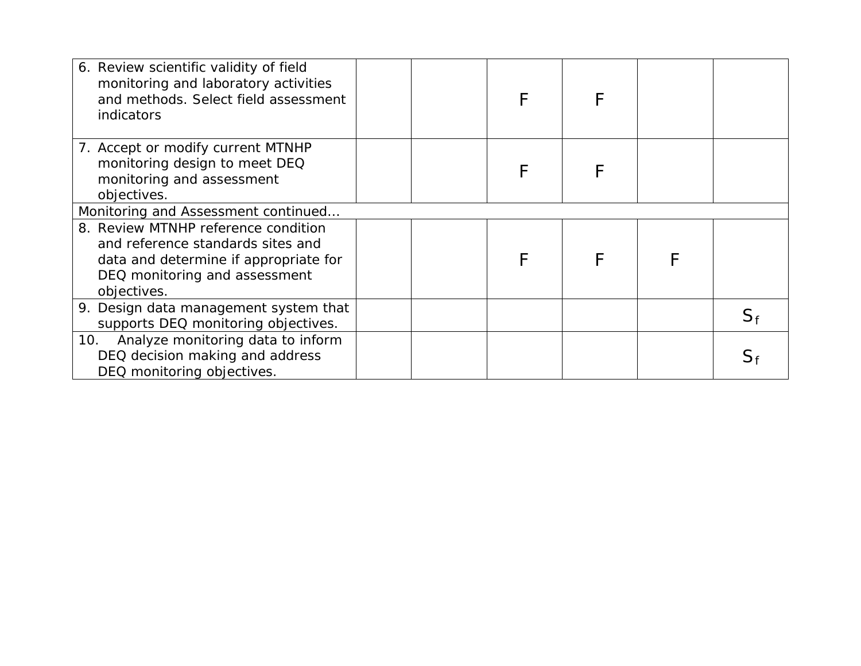| 6. Review scientific validity of field<br>monitoring and laboratory activities<br>and methods. Select field assessment<br>indicators                              |  |   |  |  |
|-------------------------------------------------------------------------------------------------------------------------------------------------------------------|--|---|--|--|
| 7. Accept or modify current MTNHP<br>monitoring design to meet DEQ<br>monitoring and assessment<br>objectives.                                                    |  |   |  |  |
| Monitoring and Assessment continued                                                                                                                               |  |   |  |  |
| 8. Review MTNHP reference condition<br>and reference standards sites and<br>data and determine if appropriate for<br>DEQ monitoring and assessment<br>objectives. |  | F |  |  |
| 9. Design data management system that<br>supports DEQ monitoring objectives.                                                                                      |  |   |  |  |
| Analyze monitoring data to inform<br>10.<br>DEQ decision making and address<br>DEQ monitoring objectives.                                                         |  |   |  |  |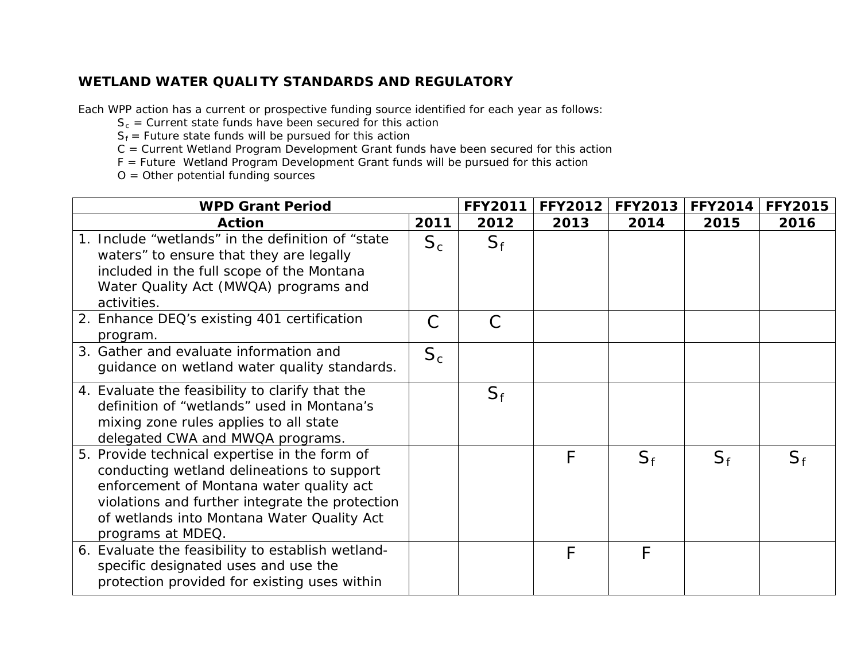## **WETLAND WATER QUALITY STANDARDS AND REGULATORY**

- *Sc = Current state funds have been secured for this action*
- *Sf = Future state funds will be pursued for this action*
- *C = Current Wetland Program Development Grant funds have been secured for this action*
- *F = Future Wetland Program Development Grant funds will be pursued for this action*
- *O = Other potential funding sources*

| <b>WPD Grant Period</b>                                                                                                                                                                                                                                       |       | <b>FFY2011</b> | <b>FFY2012</b> | <b>FFY2013</b> | <b>FFY2014</b> | <b>FFY2015</b> |
|---------------------------------------------------------------------------------------------------------------------------------------------------------------------------------------------------------------------------------------------------------------|-------|----------------|----------------|----------------|----------------|----------------|
| <b>Action</b>                                                                                                                                                                                                                                                 | 2011  | 2012           | 2013           | 2014           | 2015           | 2016           |
| 1. Include "wetlands" in the definition of "state<br>waters" to ensure that they are legally<br>included in the full scope of the Montana<br>Water Quality Act (MWQA) programs and<br>activities.                                                             | $S_c$ | $S_f$          |                |                |                |                |
| 2. Enhance DEQ's existing 401 certification<br>program.                                                                                                                                                                                                       | C     | $\overline{C}$ |                |                |                |                |
| 3. Gather and evaluate information and<br>guidance on wetland water quality standards.                                                                                                                                                                        | $S_c$ |                |                |                |                |                |
| 4. Evaluate the feasibility to clarify that the<br>definition of "wetlands" used in Montana's<br>mixing zone rules applies to all state<br>delegated CWA and MWQA programs.                                                                                   |       | $S_f$          |                |                |                |                |
| 5. Provide technical expertise in the form of<br>conducting wetland delineations to support<br>enforcement of Montana water quality act<br>violations and further integrate the protection<br>of wetlands into Montana Water Quality Act<br>programs at MDEQ. |       |                | F              | $S_f$          | $S_f$          | $S_f$          |
| 6. Evaluate the feasibility to establish wetland-<br>specific designated uses and use the<br>protection provided for existing uses within                                                                                                                     |       |                | $\sqrt{F}$     | $\sqrt{F}$     |                |                |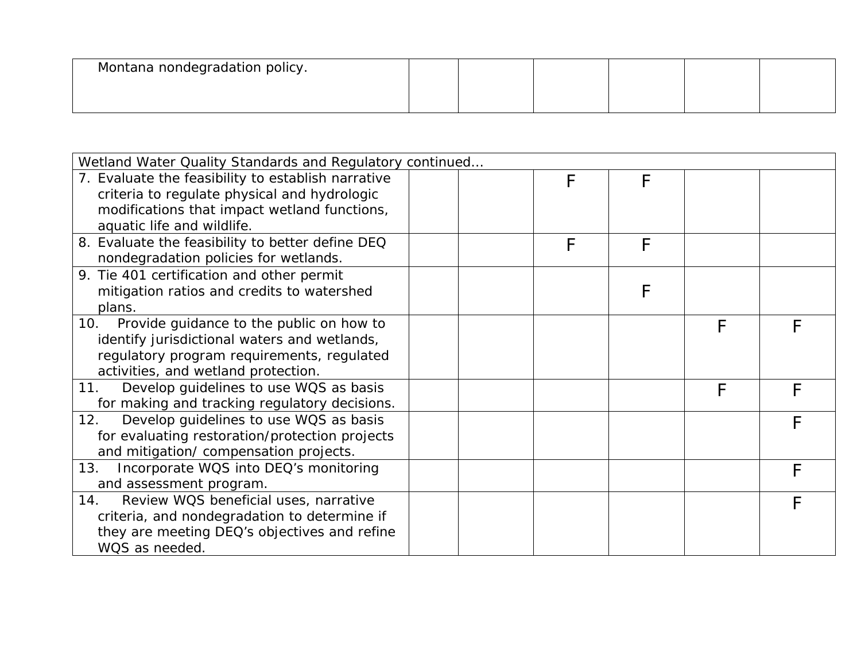| Montana nondegradation policy. |  |  |  |
|--------------------------------|--|--|--|
|                                |  |  |  |
|                                |  |  |  |

| Wetland Water Quality Standards and Regulatory continued                                           |  |            |            |   |   |
|----------------------------------------------------------------------------------------------------|--|------------|------------|---|---|
| 7. Evaluate the feasibility to establish narrative<br>criteria to regulate physical and hydrologic |  | $\sqrt{F}$ | F          |   |   |
| modifications that impact wetland functions,                                                       |  |            |            |   |   |
| aquatic life and wildlife.                                                                         |  |            |            |   |   |
| 8. Evaluate the feasibility to better define DEQ<br>nondegradation policies for wetlands.          |  | F          | F          |   |   |
| 9. Tie 401 certification and other permit                                                          |  |            |            |   |   |
| mitigation ratios and credits to watershed                                                         |  |            | $\sqrt{F}$ |   |   |
| plans.                                                                                             |  |            |            |   |   |
| Provide guidance to the public on how to<br>10.                                                    |  |            |            | F | F |
| identify jurisdictional waters and wetlands,                                                       |  |            |            |   |   |
| regulatory program requirements, regulated                                                         |  |            |            |   |   |
| activities, and wetland protection.                                                                |  |            |            |   |   |
| Develop guidelines to use WQS as basis<br>11.                                                      |  |            |            | F | F |
| for making and tracking regulatory decisions.                                                      |  |            |            |   |   |
| Develop guidelines to use WQS as basis<br>12.                                                      |  |            |            |   | F |
| for evaluating restoration/protection projects                                                     |  |            |            |   |   |
| and mitigation/ compensation projects.                                                             |  |            |            |   |   |
| 13.<br>Incorporate WQS into DEQ's monitoring                                                       |  |            |            |   |   |
| and assessment program.                                                                            |  |            |            |   |   |
| 14.<br>Review WQS beneficial uses, narrative                                                       |  |            |            |   |   |
| criteria, and nondegradation to determine if                                                       |  |            |            |   |   |
| they are meeting DEQ's objectives and refine                                                       |  |            |            |   |   |
| WQS as needed.                                                                                     |  |            |            |   |   |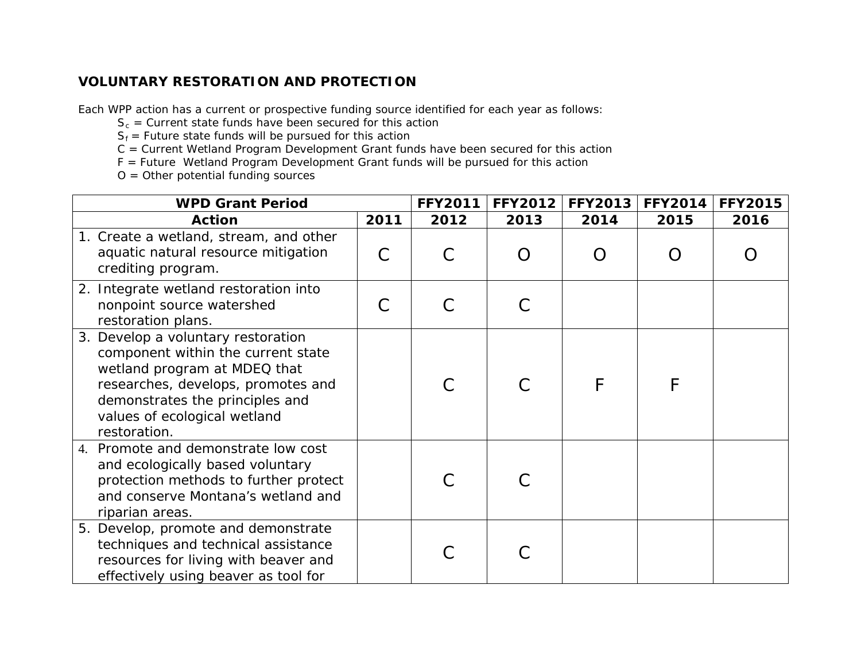## **VOLUNTARY RESTORATION AND PROTECTION**

- *Sc = Current state funds have been secured for this action*
- *Sf = Future state funds will be pursued for this action*
- *C = Current Wetland Program Development Grant funds have been secured for this action*
- *F = Future Wetland Program Development Grant funds will be pursued for this action*
- *O = Other potential funding sources*

| <b>WPD Grant Period</b>                                                                                                                                                                                                           |                | <b>FFY2011</b> | <b>FFY2012</b> | <b>FFY2013</b> | <b>FFY2014</b> | <b>FFY2015</b> |
|-----------------------------------------------------------------------------------------------------------------------------------------------------------------------------------------------------------------------------------|----------------|----------------|----------------|----------------|----------------|----------------|
| <b>Action</b>                                                                                                                                                                                                                     | 2011           | 2012           | 2013           | 2014           | 2015           | 2016           |
| 1. Create a wetland, stream, and other<br>aquatic natural resource mitigation<br>crediting program.                                                                                                                               | $\overline{C}$ |                |                |                |                |                |
| 2. Integrate wetland restoration into<br>nonpoint source watershed<br>restoration plans.                                                                                                                                          | $\mathcal C$   |                |                |                |                |                |
| 3. Develop a voluntary restoration<br>component within the current state<br>wetland program at MDEQ that<br>researches, develops, promotes and<br>demonstrates the principles and<br>values of ecological wetland<br>restoration. |                |                |                | F              | F              |                |
| 4. Promote and demonstrate low cost<br>and ecologically based voluntary<br>protection methods to further protect<br>and conserve Montana's wetland and<br>riparian areas.                                                         |                |                |                |                |                |                |
| 5. Develop, promote and demonstrate<br>techniques and technical assistance<br>resources for living with beaver and<br>effectively using beaver as tool for                                                                        |                |                |                |                |                |                |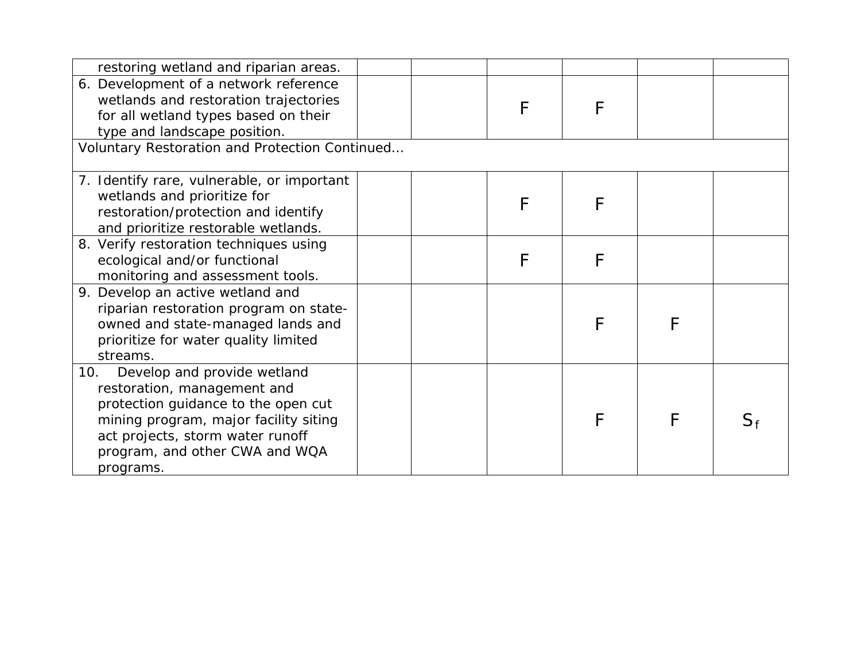| restoring wetland and riparian areas.                                                                                                                                                                                                |  |   |   |  |
|--------------------------------------------------------------------------------------------------------------------------------------------------------------------------------------------------------------------------------------|--|---|---|--|
| 6. Development of a network reference<br>wetlands and restoration trajectories                                                                                                                                                       |  | F | F |  |
| for all wetland types based on their                                                                                                                                                                                                 |  |   |   |  |
| type and landscape position.                                                                                                                                                                                                         |  |   |   |  |
| Voluntary Restoration and Protection Continued                                                                                                                                                                                       |  |   |   |  |
| 7. Identify rare, vulnerable, or important<br>wetlands and prioritize for<br>restoration/protection and identify<br>and prioritize restorable wetlands.                                                                              |  | F | F |  |
| 8. Verify restoration techniques using<br>ecological and/or functional<br>monitoring and assessment tools.                                                                                                                           |  | F | F |  |
| 9. Develop an active wetland and<br>riparian restoration program on state-<br>owned and state-managed lands and<br>prioritize for water quality limited<br>streams.                                                                  |  |   | F |  |
| 10.<br>Develop and provide wetland<br>restoration, management and<br>protection guidance to the open cut<br>mining program, major facility siting<br>act projects, storm water runoff<br>program, and other CWA and WQA<br>programs. |  |   | F |  |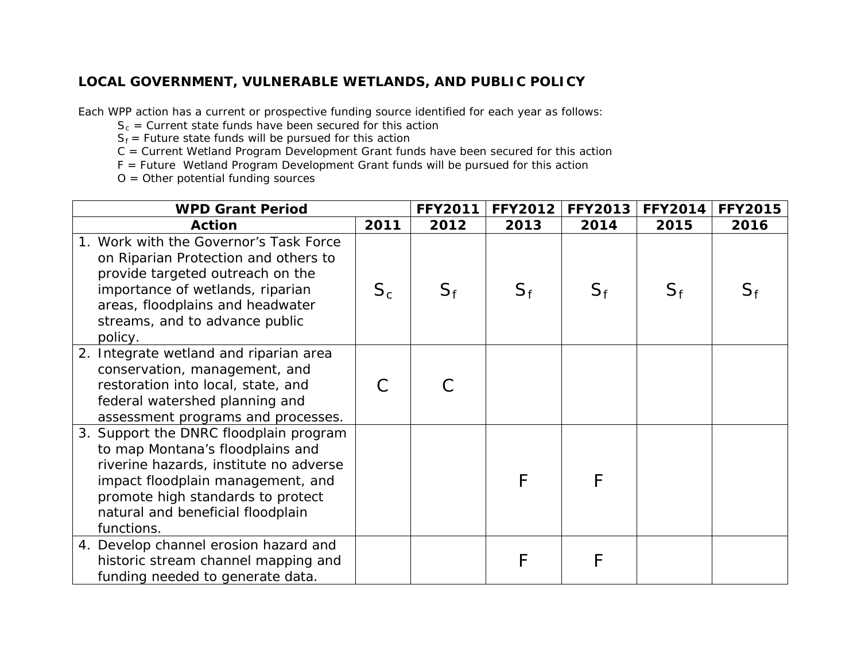## **LOCAL GOVERNMENT, VULNERABLE WETLANDS, AND PUBLIC POLICY**

*Each WPP action has a current or prospective funding source identified for each year as follows:* 

*Sc = Current state funds have been secured for this action*

*Sf = Future state funds will be pursued for this action*

*C = Current Wetland Program Development Grant funds have been secured for this action*

*F = Future Wetland Program Development Grant funds will be pursued for this action*

*O = Other potential funding sources*

| <b>WPD Grant Period</b>                                                                                                                                                                                                                           |       | <b>FFY2011</b> | <b>FFY2012</b> | <b>FFY2013</b> | <b>FFY2014</b> | <b>FFY2015</b> |
|---------------------------------------------------------------------------------------------------------------------------------------------------------------------------------------------------------------------------------------------------|-------|----------------|----------------|----------------|----------------|----------------|
| <b>Action</b>                                                                                                                                                                                                                                     | 2011  | 2012           | 2013           | 2014           | 2015           | 2016           |
| 1. Work with the Governor's Task Force<br>on Riparian Protection and others to<br>provide targeted outreach on the<br>importance of wetlands, riparian<br>areas, floodplains and headwater<br>streams, and to advance public<br>policy.           | $S_c$ | $S_f$          | $S_f$          | $S_f$          | $S_f$          |                |
| 2. Integrate wetland and riparian area<br>conservation, management, and<br>restoration into local, state, and<br>federal watershed planning and<br>assessment programs and processes.                                                             | C     |                |                |                |                |                |
| 3. Support the DNRC floodplain program<br>to map Montana's floodplains and<br>riverine hazards, institute no adverse<br>impact floodplain management, and<br>promote high standards to protect<br>natural and beneficial floodplain<br>functions. |       |                | $\sqrt{F}$     |                |                |                |
| 4. Develop channel erosion hazard and<br>historic stream channel mapping and<br>funding needed to generate data.                                                                                                                                  |       |                | F              |                |                |                |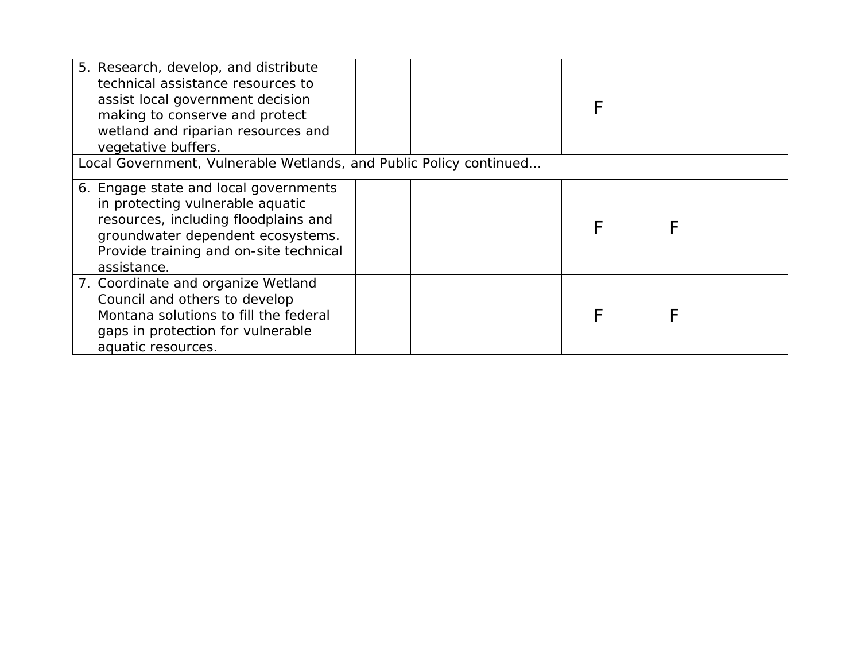| 5. Research, develop, and distribute<br>technical assistance resources to<br>assist local government decision<br>making to conserve and protect<br>wetland and riparian resources and<br>vegetative buffers.    |  |  |  |  |  |  |  |  |
|-----------------------------------------------------------------------------------------------------------------------------------------------------------------------------------------------------------------|--|--|--|--|--|--|--|--|
| Local Government, Vulnerable Wetlands, and Public Policy continued                                                                                                                                              |  |  |  |  |  |  |  |  |
| 6. Engage state and local governments<br>in protecting vulnerable aquatic<br>resources, including floodplains and<br>groundwater dependent ecosystems.<br>Provide training and on-site technical<br>assistance. |  |  |  |  |  |  |  |  |
| 7. Coordinate and organize Wetland<br>Council and others to develop<br>Montana solutions to fill the federal<br>gaps in protection for vulnerable<br>aquatic resources.                                         |  |  |  |  |  |  |  |  |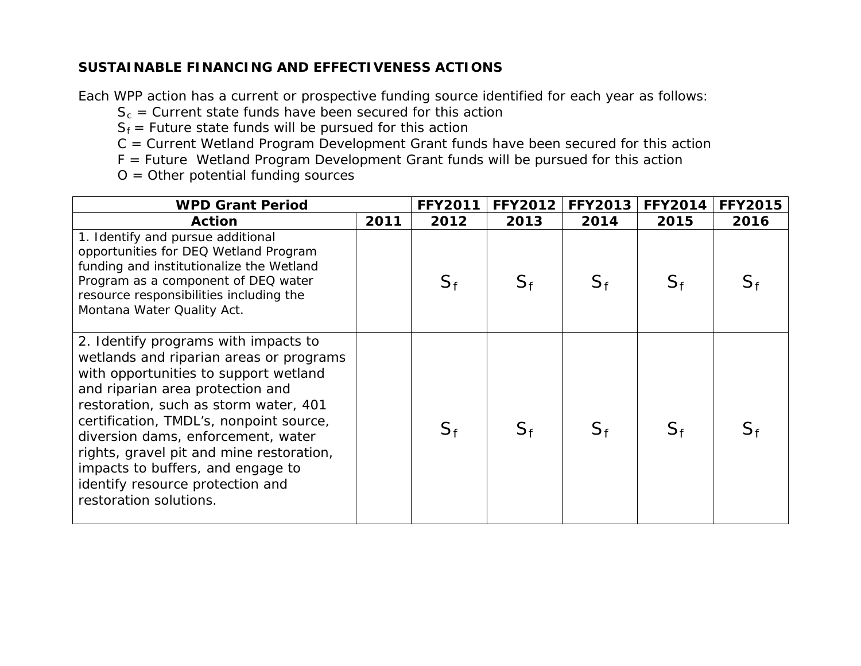## **SUSTAINABLE FINANCING AND EFFECTIVENESS ACTIONS**

- *Sc = Current state funds have been secured for this action*
- *Sf = Future state funds will be pursued for this action*
- *C = Current Wetland Program Development Grant funds have been secured for this action*
- *F = Future Wetland Program Development Grant funds will be pursued for this action*
- *O = Other potential funding sources*

| <b>WPD Grant Period</b>                                                                                                                                                                                                                                                                                                                                                                                                               |      | <b>FFY2011</b> | <b>FFY2012</b> | FFY2013 | <b>FFY2014</b> | <b>FFY2015</b> |
|---------------------------------------------------------------------------------------------------------------------------------------------------------------------------------------------------------------------------------------------------------------------------------------------------------------------------------------------------------------------------------------------------------------------------------------|------|----------------|----------------|---------|----------------|----------------|
| <b>Action</b>                                                                                                                                                                                                                                                                                                                                                                                                                         | 2011 | 2012           | 2013           | 2014    | 2015           | 2016           |
| 1. Identify and pursue additional<br>opportunities for DEQ Wetland Program<br>funding and institutionalize the Wetland<br>Program as a component of DEQ water<br>resource responsibilities including the<br>Montana Water Quality Act.                                                                                                                                                                                                |      | $S_f$          | $S_f$          | $S_f$   | $S_f$          |                |
| 2. Identify programs with impacts to<br>wetlands and riparian areas or programs<br>with opportunities to support wetland<br>and riparian area protection and<br>restoration, such as storm water, 401<br>certification, TMDL's, nonpoint source,<br>diversion dams, enforcement, water<br>rights, gravel pit and mine restoration,<br>impacts to buffers, and engage to<br>identify resource protection and<br>restoration solutions. |      | $S_f$          | $S_f$          | $S_f$   | $S_f$          |                |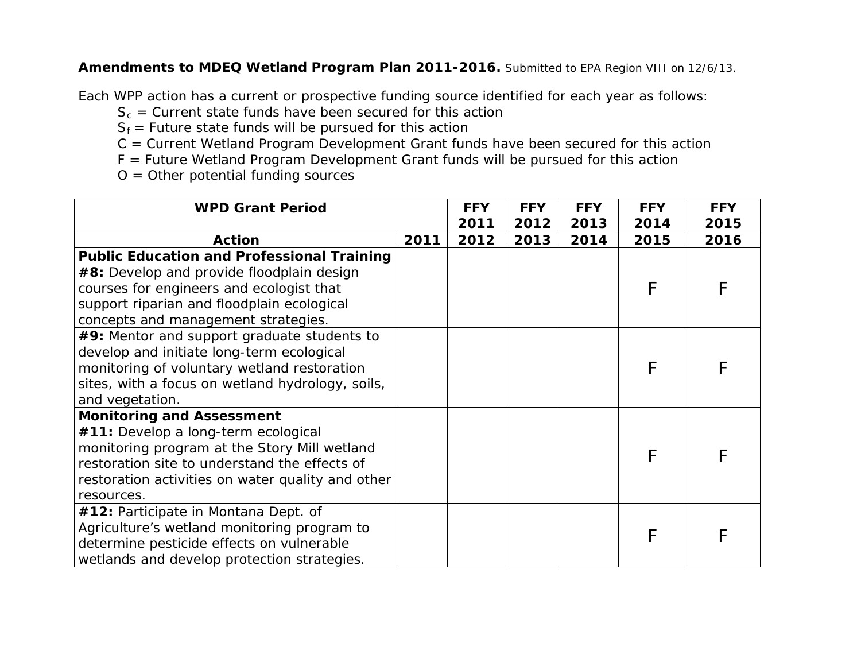### **Amendments to MDEQ Wetland Program Plan 2011-2016.** Submitted to EPA Region VIII on 12/6/13.

- *Sc = Current state funds have been secured for this action*
- *Sf = Future state funds will be pursued for this action*
- *C = Current Wetland Program Development Grant funds have been secured for this action*
- *F = Future Wetland Program Development Grant funds will be pursued for this action*
- *O = Other potential funding sources*

| <b>WPD Grant Period</b>                           |      | <b>FFY</b> | <b>FFY</b> | <b>FFY</b> | <b>FFY</b> | <b>FFY</b> |
|---------------------------------------------------|------|------------|------------|------------|------------|------------|
|                                                   |      | 2011       | 2012       | 2013       | 2014       | 2015       |
| <b>Action</b>                                     | 2011 | 2012       | 2013       | 2014       | 2015       | 2016       |
| <b>Public Education and Professional Training</b> |      |            |            |            |            |            |
| #8: Develop and provide floodplain design         |      |            |            |            |            |            |
| courses for engineers and ecologist that          |      |            |            |            | F          | F          |
| support riparian and floodplain ecological        |      |            |            |            |            |            |
| concepts and management strategies.               |      |            |            |            |            |            |
| #9: Mentor and support graduate students to       |      |            |            |            |            |            |
| develop and initiate long-term ecological         |      |            |            |            |            |            |
| monitoring of voluntary wetland restoration       |      |            |            |            | F          | F          |
| sites, with a focus on wetland hydrology, soils,  |      |            |            |            |            |            |
| and vegetation.                                   |      |            |            |            |            |            |
| <b>Monitoring and Assessment</b>                  |      |            |            |            |            |            |
| #11: Develop a long-term ecological               |      |            |            |            |            |            |
| monitoring program at the Story Mill wetland      |      |            |            |            | F          | F          |
| restoration site to understand the effects of     |      |            |            |            |            |            |
| restoration activities on water quality and other |      |            |            |            |            |            |
| resources.                                        |      |            |            |            |            |            |
| #12: Participate in Montana Dept. of              |      |            |            |            |            |            |
| Agriculture's wetland monitoring program to       |      |            |            |            | F          | F          |
| determine pesticide effects on vulnerable         |      |            |            |            |            |            |
| wetlands and develop protection strategies.       |      |            |            |            |            |            |